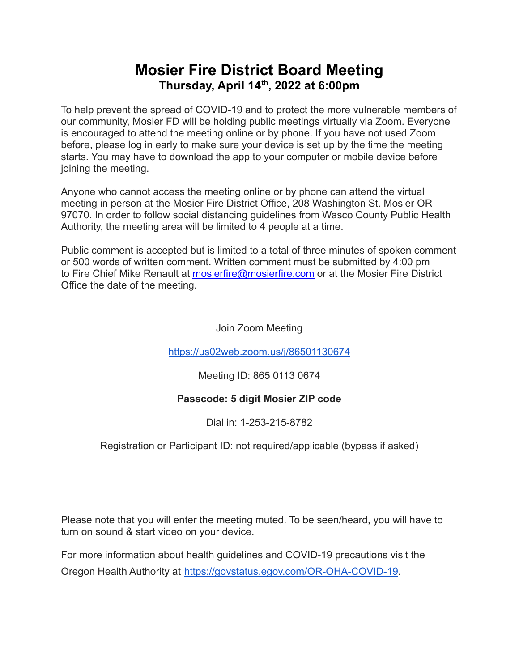# **Mosier Fire District Board Meeting Thursday, April 14 th , 2022 at 6:00pm**

To help prevent the spread of COVID-19 and to protect the more vulnerable members of our community, Mosier FD will be holding public meetings virtually via Zoom. Everyone is encouraged to attend the meeting online or by phone. If you have not used Zoom before, please log in early to make sure your device is set up by the time the meeting starts. You may have to download the app to your computer or mobile device before joining the meeting.

Anyone who cannot access the meeting online or by phone can attend the virtual meeting in person at the Mosier Fire District Office, 208 Washington St. Mosier OR 97070. In order to follow social distancing guidelines from Wasco County Public Health Authority, the meeting area will be limited to 4 people at a time.

Public comment is accepted but is limited to a total of three minutes of spoken comment or 500 words of written comment. Written comment must be submitted by 4:00 pm to Fire Chief Mike Renault at [mosierfire@mosierfire.com](mailto:mosierfire@mosierfire.com) or at the Mosier Fire District Office the date of the meeting.

Join Zoom Meeting

<https://us02web.zoom.us/j/86501130674>

Meeting ID: 865 0113 0674

### **Passcode: 5 digit Mosier ZIP code**

Dial in: 1-253-215-8782

Registration or Participant ID: not required/applicable (bypass if asked)

Please note that you will enter the meeting muted. To be seen/heard, you will have to turn on sound & start video on your device.

For more information about health guidelines and COVID-19 precautions visit the Oregon Health Authority at [https://govstatus.egov.com/OR-OHA-COVID-19.](https://govstatus.egov.com/OR-OHA-COVID-19)